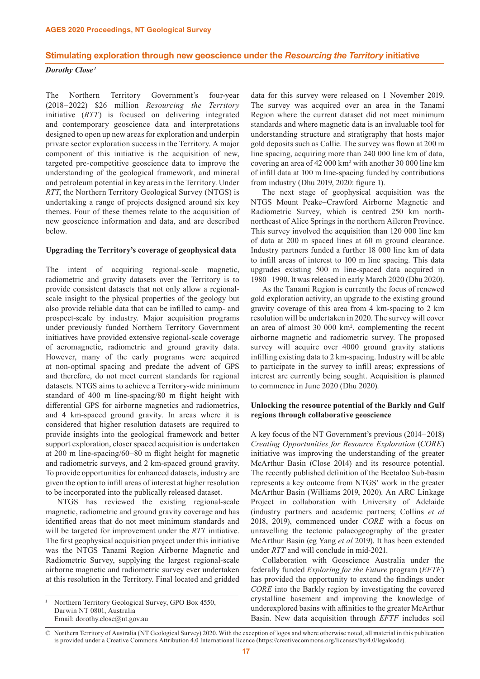#### **Stimulating exploration through new geoscience under the** *Resourcing the Territory* **initiative**

# *Dorothy Close <sup>1</sup>*

The Northern Territory Government's four-year (2018– 2022) \$26 million *Resourcing the Territory* initiative (*RTT*) is focused on delivering integrated and contemporary geoscience data and interpretations designed to open up new areas for exploration and underpin private sector exploration success in the Territory. A major component of this initiative is the acquisition of new, targeted pre-competitive geoscience data to improve the understanding of the geological framework, and mineral and petroleum potential in key areas in the Territory. Under *RTT*, the Northern Territory Geological Survey (NTGS) is undertaking a range of projects designed around six key themes. Four of these themes relate to the acquisition of new geoscience information and data, and are described below.

## **Upgrading the Territory's coverage of geophysical data**

The intent of acquiring regional-scale magnetic, radiometric and gravity datasets over the Territory is to provide consistent datasets that not only allow a regionalscale insight to the physical properties of the geology but also provide reliable data that can be infilled to camp- and prospect-scale by industry. Major acquisition programs under previously funded Northern Territory Government initiatives have provided extensive regional-scale coverage of aeromagnetic, radiometric and ground gravity data. However, many of the early programs were acquired at non-optimal spacing and predate the advent of GPS and therefore, do not meet current standards for regional datasets. NTGS aims to achieve a Territory-wide minimum standard of 400 m line-spacing/80 m flight height with differential GPS for airborne magnetics and radiometrics, and 4 km-spaced ground gravity. In areas where it is considered that higher resolution datasets are required to provide insights into the geological framework and better support exploration, closer spaced acquisition is undertaken at 200 m line-spacing/60–80 m flight height for magnetic and radiometric surveys, and 2 km-spaced ground gravity. To provide opportunities for enhanced datasets, industry are given the option to infill areas of interest at higher resolution to be incorporated into the publically released dataset.

NTGS has reviewed the existing regional-scale magnetic, radiometric and ground gravity coverage and has identified areas that do not meet minimum standards and will be targeted for improvement under the *RTT* initiative. The first geophysical acquisition project under this initiative was the NTGS Tanami Region Airborne Magnetic and Radiometric Survey, supplying the largest regional-scale airborne magnetic and radiometric survey ever undertaken at this resolution in the Territory. Final located and gridded

**<sup>1</sup>** Northern Territory Geological Survey, GPO Box 4550, Darwin NT 0801, Australia Email: dorothy.close@nt.gov.au

data for this survey were released on 1 November 2019. The survey was acquired over an area in the Tanami Region where the current dataset did not meet minimum standards and where magnetic data is an invaluable tool for understanding structure and stratigraphy that hosts major gold deposits such as Callie. The survey was flown at 200 m line spacing, acquiring more than 240 000 line km of data, covering an area of 42 000 km2 with another 30 000 line km of infill data at 100 m line-spacing funded by contributions from industry (Dhu 2019, 2020: figure 1).

The next stage of geophysical acquisition was the NTGS Mount Peake–Crawford Airborne Magnetic and Radiometric Survey, which is centred 250 km northnortheast of Alice Springs in the northern Aileron Province. This survey involved the acquisition than 120 000 line km of data at 200 m spaced lines at 60 m ground clearance. Industry partners funded a further 18 000 line km of data to infill areas of interest to 100 m line spacing. This data upgrades existing 500 m line-spaced data acquired in 1980– 1990. It was released in early March 2020 (Dhu 2020).

As the Tanami Region is currently the focus of renewed gold exploration activity, an upgrade to the existing ground gravity coverage of this area from 4 km-spacing to 2 km resolution will be undertaken in 2020. The survey will cover an area of almost 30 000 km2 , complementing the recent airborne magnetic and radiometric survey. The proposed survey will acquire over 4000 ground gravity stations infilling existing data to 2 km-spacing. Industry will be able to participate in the survey to infill areas; expressions of interest are currently being sought. Acquisition is planned to commence in June 2020 (Dhu 2020).

## **Unlocking the resource potential of the Barkly and Gulf regions through collaborative geoscience**

A key focus of the NT Government's previous (2014–2018) *Creating Opportunities for Resource Exploration* (*CORE*) initiative was improving the understanding of the greater McArthur Basin (Close 2014) and its resource potential. The recently published definition of the Beetaloo Sub-basin represents a key outcome from NTGS' work in the greater McArthur Basin (Williams 2019, 2020). An ARC Linkage Project in collaboration with University of Adelaide (industry partners and academic partners; Collins *et al*  2018, 2019), commenced under *CORE* with a focus on unravelling the tectonic palaeogeography of the greater McArthur Basin (eg Yang *et al* 2019). It has been extended under *RTT* and will conclude in mid-2021.

Collaboration with Geoscience Australia under the federally funded *Exploring for the Future* program (*EFTF*) has provided the opportunity to extend the findings under *CORE* into the Barkly region by investigating the covered crystalline basement and improving the knowledge of underexplored basins with affinities to the greater McArthur Basin. New data acquisition through *EFTF* includes soil

<sup>©</sup> Northern Territory of Australia (NT Geological Survey) 2020. With the exception of logos and where otherwise noted, all material in this publication is provided under a Creative Commons Attribution 4.0 International licence (https://creativecommons.org/licenses/by/4.0/legalcode).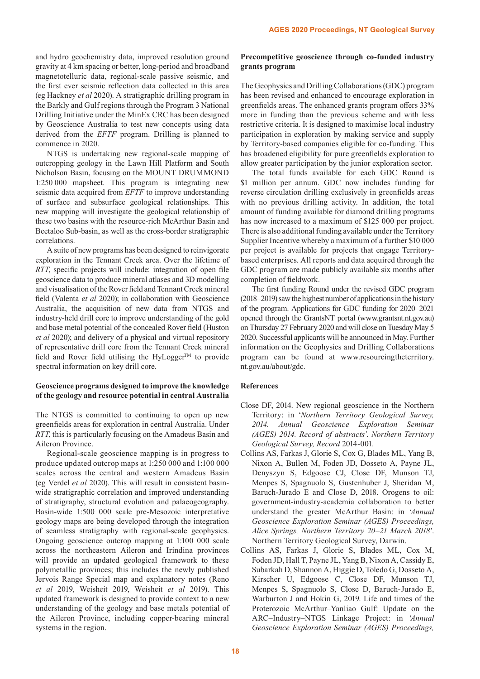and hydro geochemistry data, improved resolution ground gravity at 4 km spacing or better, long-period and broadband magnetotelluric data, regional-scale passive seismic, and the first ever seismic reflection data collected in this area (eg Hackney *et al* 2020). A stratigraphic drilling program in the Barkly and Gulf regions through the Program 3 National Drilling Initiative under the MinEx CRC has been designed by Geoscience Australia to test new concepts using data derived from the *EFTF* program. Drilling is planned to commence in 2020.

NTGS is undertaking new regional-scale mapping of outcropping geology in the Lawn Hill Platform and South Nicholson Basin, focusing on the MOUNT DRUMMOND 1:250 000 mapsheet. This program is integrating new seismic data acquired from *EFTF* to improve understanding of surface and subsurface geological relationships. This new mapping will investigate the geological relationship of these two basins with the resource-rich McArthur Basin and Beetaloo Sub-basin, as well as the cross-border stratigraphic correlations.

A suite of new programs has been designed to reinvigorate exploration in the Tennant Creek area. Over the lifetime of *RTT*, specific projects will include: integration of open file geoscience data to produce mineral atlases and 3D modelling and visualisation of the Rover field and Tennant Creek mineral field (Valenta *et al* 2020); in collaboration with Geoscience Australia, the acquisition of new data from NTGS and industry-held drill core to improve understanding of the gold and base metal potential of the concealed Rover field (Huston *et al* 2020); and delivery of a physical and virtual repository of representative drill core from the Tennant Creek mineral field and Rover field utilising the HyLogger $TM$  to provide spectral information on key drill core.

# **Geoscience programs designed to improve the knowledge of the geology and resource potential in central Australia**

The NTGS is committed to continuing to open up new greenfields areas for exploration in central Australia. Under *RTT*, this is particularly focusing on the Amadeus Basin and Aileron Province.

Regional-scale geoscience mapping is in progress to produce updated outcrop maps at 1:250 000 and 1:100 000 scales across the central and western Amadeus Basin (eg Verdel *et al* 2020). This will result in consistent basinwide stratigraphic correlation and improved understanding of stratigraphy, structural evolution and palaeogeography. Basin-wide 1:500 000 scale pre-Mesozoic interpretative geology maps are being developed through the integration of seamless stratigraphy with regional-scale geophysics. Ongoing geoscience outcrop mapping at 1:100 000 scale across the northeastern Aileron and Irindina provinces will provide an updated geological framework to these polymetallic provinces; this includes the newly published Jervois Range Special map and explanatory notes (Reno *et al* 2019, Weisheit 2019, Weisheit *et al* 2019). This updated framework is designed to provide context to a new understanding of the geology and base metals potential of the Aileron Province, including copper-bearing mineral systems in the region.

# **Precompetitive geoscience through co-funded industry grants program**

The Geophysics and Drilling Collaborations (GDC) program has been revised and enhanced to encourage exploration in greenfields areas. The enhanced grants program offers 33% more in funding than the previous scheme and with less restrictive criteria. It is designed to maximise local industry participation in exploration by making service and supply by Territory-based companies eligible for co-funding. This has broadened eligibility for pure greenfields exploration to allow greater participation by the junior exploration sector.

The total funds available for each GDC Round is \$1 million per annum. GDC now includes funding for reverse circulation drilling exclusively in greenfields areas with no previous drilling activity. In addition, the total amount of funding available for diamond drilling programs has now increased to a maximum of \$125 000 per project. There is also additional funding available under the Territory Supplier Incentive whereby a maximum of a further \$10 000 per project is available for projects that engage Territorybased enterprises. All reports and data acquired through the GDC program are made publicly available six months after completion of fieldwork.

The first funding Round under the revised GDC program (2018–2019) saw the highest number of applications in the history of the program. Applications for GDC funding for 2020–2021 opened through the GrantsNT portal (www.grantsnt.nt.gov.au) on Thursday 27 February 2020 and will close on Tuesday May 5 2020. Successful applicants will be announced in May. Further information on the Geophysics and Drilling Collaborations program can be found at www.resourcingtheterritory. nt.gov.au/about/gdc.

## **References**

- Close DF, 2014. New regional geoscience in the Northern Territory: in '*Northern Territory Geological Survey, 2014. Annual Geoscience Exploration Seminar (AGES) 2014. Record of abstracts'*. *Northern Territory Geological Survey, Record* 2014-001.
- Collins AS, Farkas J, Glorie S, Cox G, Blades ML, Yang B, Nixon A, Bullen M, Foden JD, Dosseto A, Payne JL, Denyszyn S, Edgoose CJ, Close DF, Munson TJ, Menpes S, Spagnuolo S, Gustenhuber J, Sheridan M, Baruch-Jurado E and Close D, 2018. Orogens to oil: government-industry-academia collaboration to better understand the greater McArthur Basin: in '*Annual Geoscience Exploration Seminar (AGES) Proceedings, Alice Springs, Northern Territory 20–21 March 2018*'. Northern Territory Geological Survey, Darwin.
- Collins AS, Farkas J, Glorie S, Blades ML, Cox M, Foden JD, Hall T, Payne JL, Yang B, Nixon A, Cassidy E, Subarkah D, Shannon A, Higgie D, Toledo G, Dosseto A, Kirscher U, Edgoose C, Close DF, Munson TJ, Menpes S, Spagnuolo S, Close D, Baruch-Jurado E, Warburton J and Hokin G, 2019. Life and times of the Proterozoic McArthur–Yanliao Gulf: Update on the ARC–Industry–NTGS Linkage Project: in '*Annual Geoscience Exploration Seminar (AGES) Proceedings,*